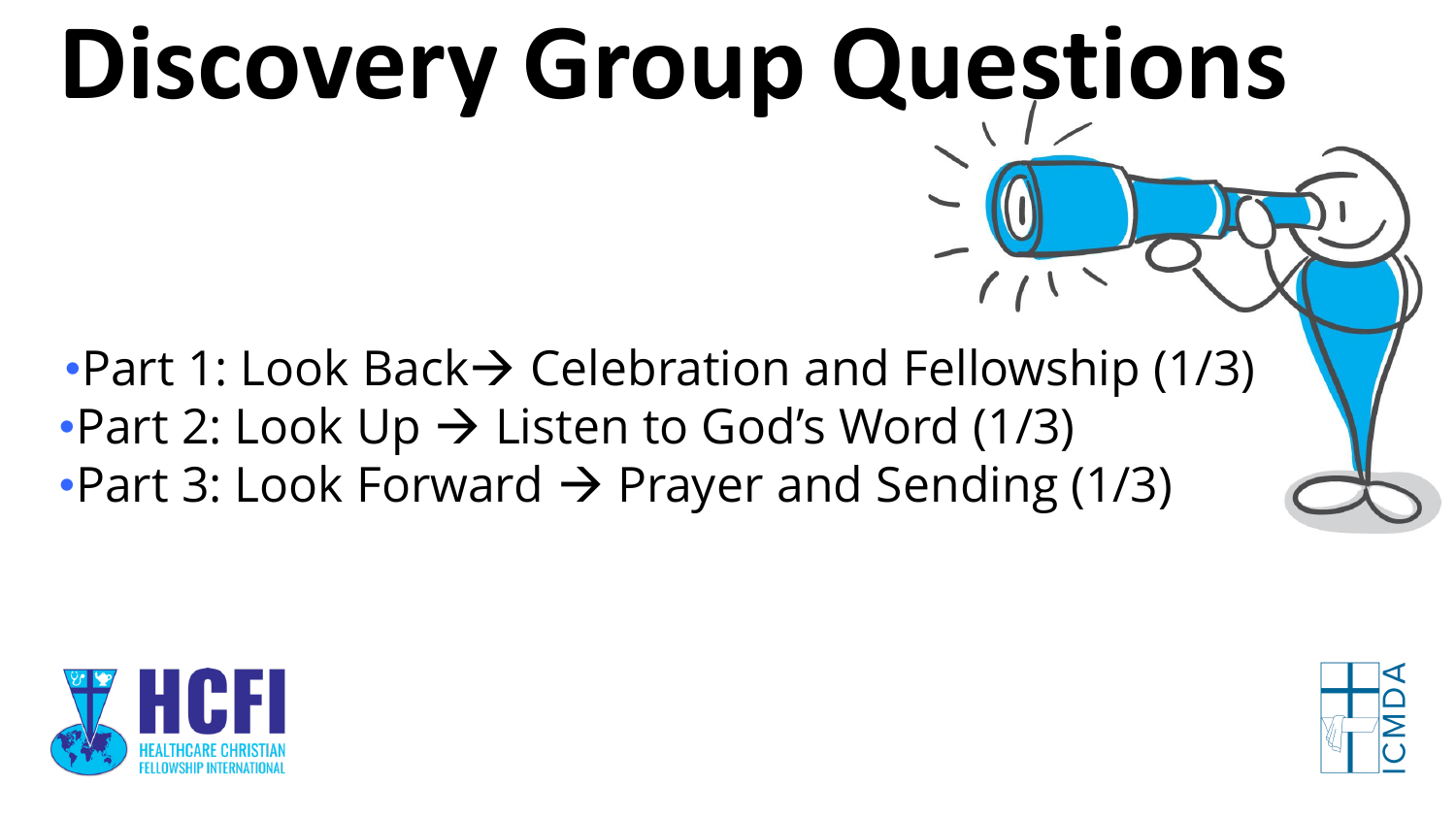## •Part 1: Look Back→ Celebration and Fellowship (1/3) •Part 2: Look Up → Listen to God's Word (1/3) •Part 3: Look Forward  $\rightarrow$  Prayer and Sending (1/3) **Discovery Group Questions**



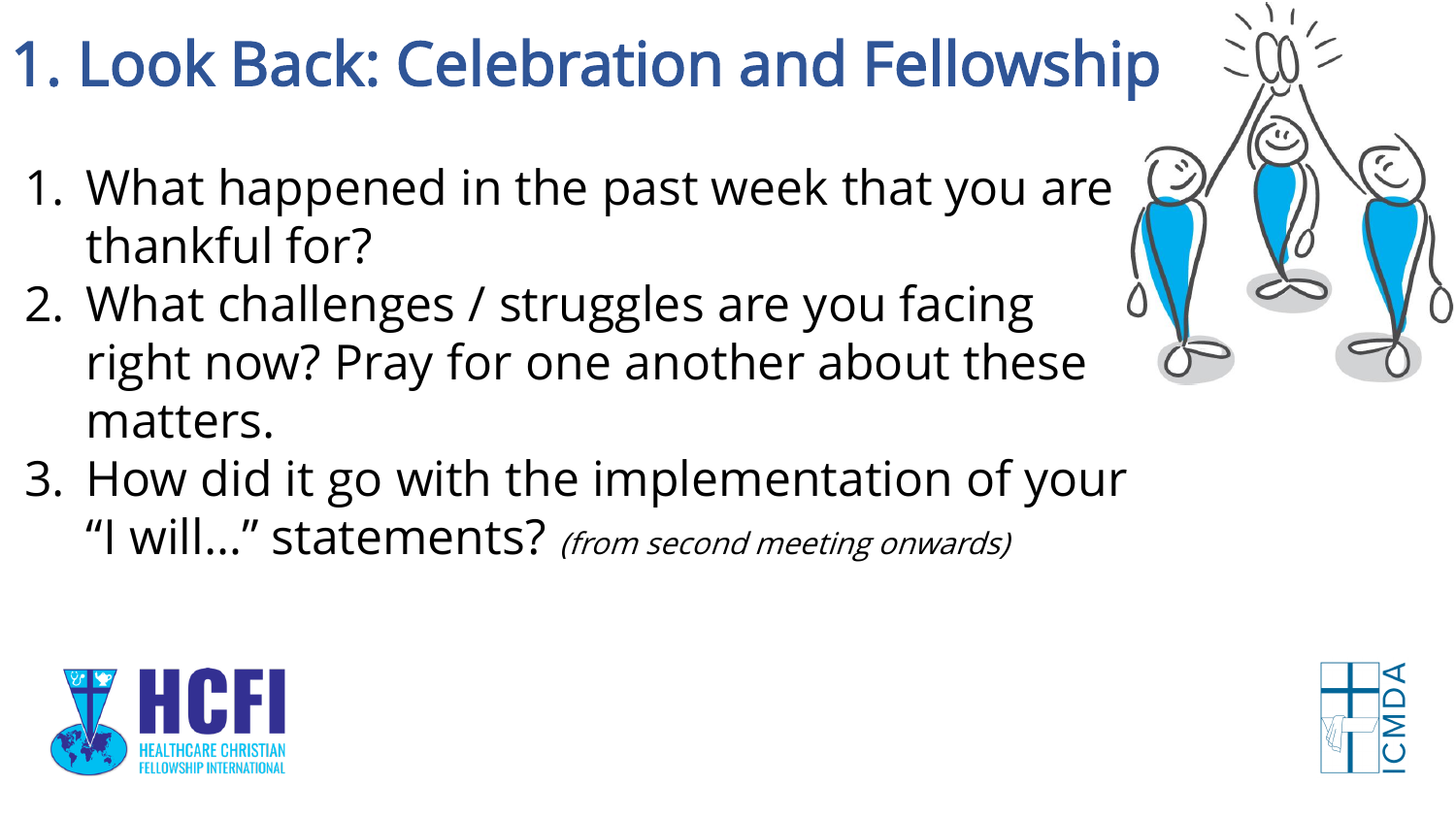## 1. Look Back: Celebration and Fellowship

- 1. What happened in the past week that you are thankful for?
- 2. What challenges / struggles are you facing right now? Pray for one another about these matters.
- 3. How did it go with the implementation of your

"I will..." statements? (from second meeting onwards)



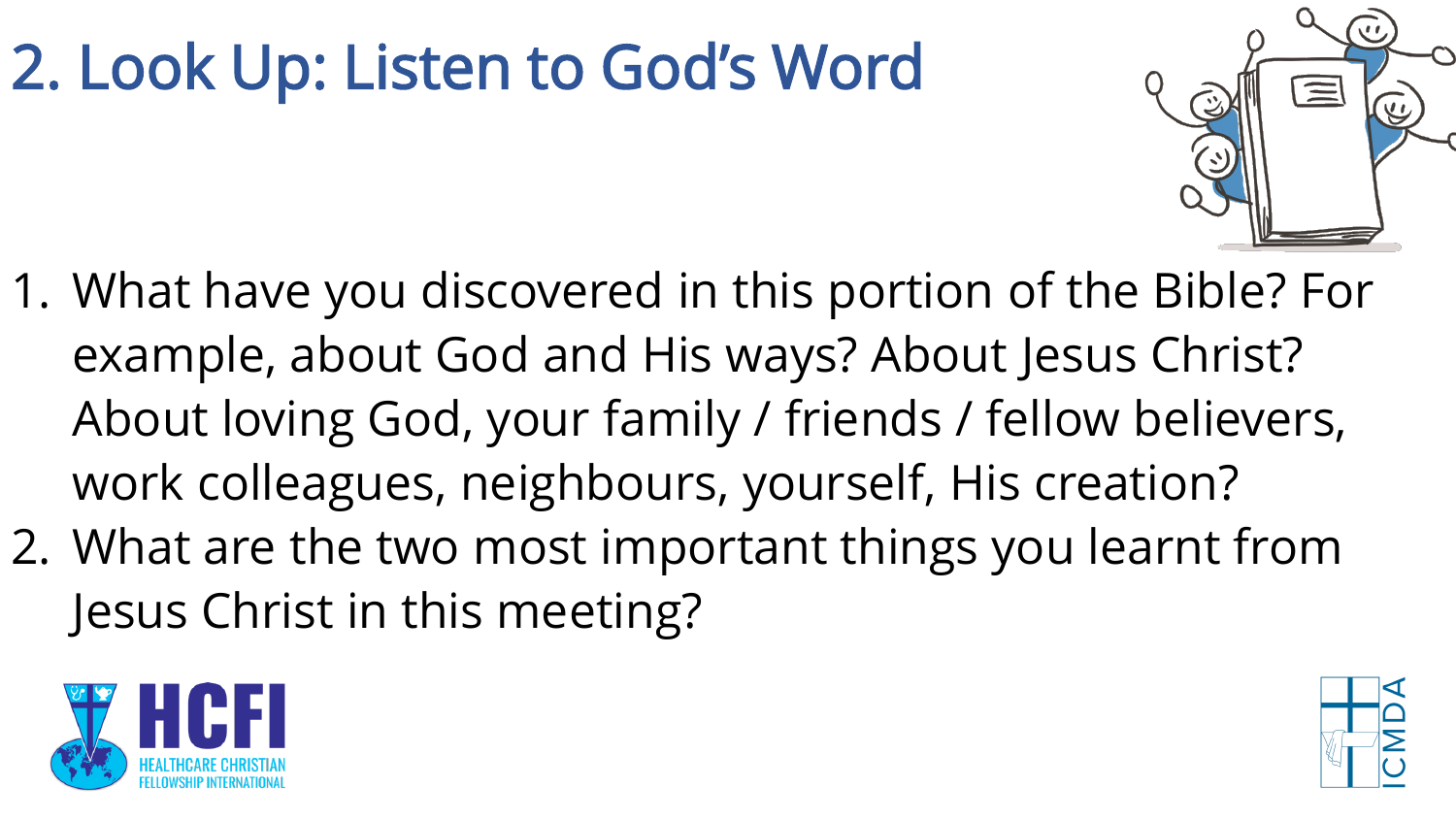## 2. Look Up: Listen to God's Word



- 1. What have you discovered in this portion of the Bible? For example, about God and His ways? About Jesus Christ? About loving God, your family / friends / fellow believers, work colleagues, neighbours, yourself, His creation?
- 2. What are the two most important things you learnt from Jesus Christ in this meeting?